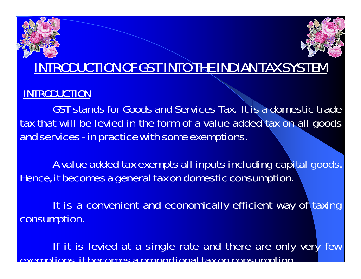# INTRODUCTION OF GST INTO THE INDIAN TAX SYSTEM

#### INTRODUCTION

GST stands for Goods and Services Tax. It is a domestic trade tax that will be levied in the form of a value added tax on all goods and services - in practice with some exemptions.

A value added tax exempts all inputs including capital goods. Hence, it becomes a general tax on domestic consumption.

It is a convenient and economically efficient way of taxing consumption.

If it is levied at a single rate and there are only very few exemptions, it becomes a proportional tax on consumption.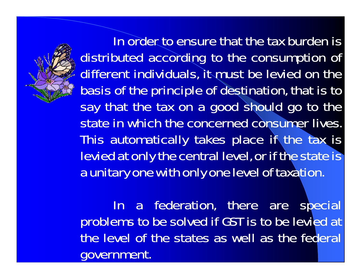

In order to ensure that the tax burden is distributed according to the consumption of different individuals, it must be levied on the basis of the principle of destination, that is to say that the tax on a good should go to the state in which the concerned consumer lives. This automatically takes place if the tax is levied at only the central level, or if the state is a unitary one with only one level of taxation.

In a federation, there are special problems to be solved if GST is to be levied at the level of the states as well as the federal government.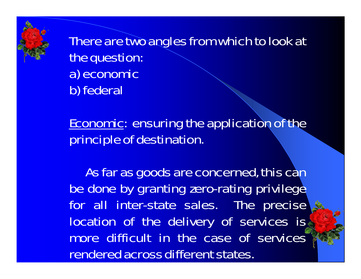There are two angles from which to look at the question: a) economic b) federal

Economic: ensuring the application of the principle of destination.

As far as goods are concerned, this can be done by granting zero-rating privilege for all inter-state sales. The precise location of the delivery of services is more difficult in the case of services rendered across different states.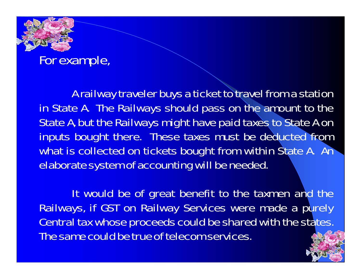### For example,

A railway traveler buys a ticket to travel from a station in State A. The Railways should pass on the amount to the State A, but the Railways might have paid taxes to State A on inputs bought there. These taxes must be deducted from what is collected on tickets bought from within State A. An elaborate system of accounting will be needed.

It would be of great benefit to the taxmen and the Railways, if GST on Railway Services were made a purely Central tax whose proceeds could be shared with the states. The same could be true of telecom services.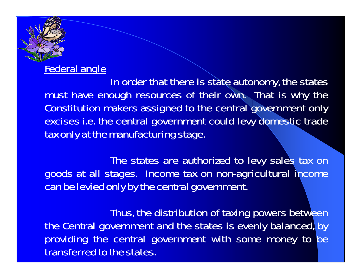#### Federal angle

In order that there is state autonomy, the states must have enough resources of their own. That is why the Constitution makers assigned to the central government only excises i.e. the central government could levy domestic trade tax only at the manufacturing stage.

The states are authorized to levy sales tax on goods at all stages. Income tax on non-agricultural income can be levied only by the central government.

Thus, the distribution of taxing powers between the Central government and the states is evenly balanced, by providing the central government with some money to be transferred to the states.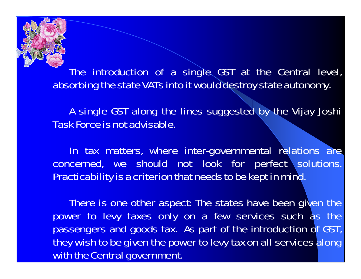The introduction of a single GST at the Central level, absorbing the state VATs into it would destroy state autonomy.

A single GST along the lines suggested by the Vijay Joshi Task Force is not advisable.

In tax matters, where inter-governmental relations are concerned, we should not look for perfect solutions. Practicability is a criterion that needs to be kept in mind.

There is one other aspect: The states have been given the power to levy taxes only on a few services such as the passengers and goods tax. As part of the introduction of GST, they wish to be given the power to levy tax on all services along with the Central government.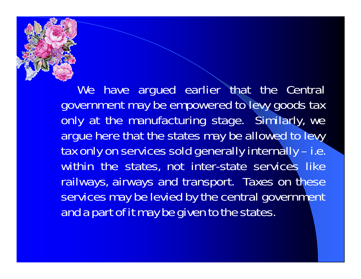

We have argued earlier that the Central government may be empowered to levy goods tax only at the manufacturing stage. Similarly, we argue here that the states may be allowed to levy tax only on services sold generally internally – i.e. within the states, not inter-state services like railways, airways and transport. Taxes on these services may be levied by the central government and a part of it may be given to the states.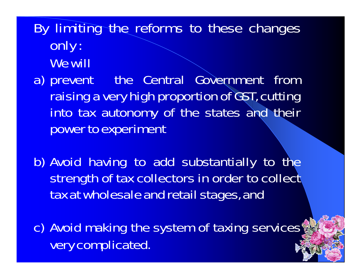By limiting the reforms to these changes only : We will

a) prevent the Central Government from raising a very high proportion of GST, cutting into tax autonomy of the states and their power to experiment

b) Avoid having to add substantially to the strength of tax collectors in order to collect tax at wholesale and retail stages, and

c) Avoid making the system of taxing services very complicated.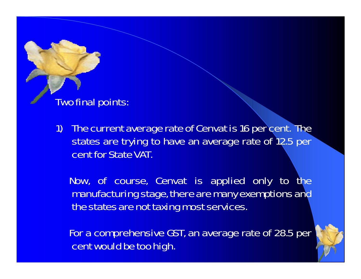Two final points:

1) The current average rate of Cenvat is 16 per cent. The states are trying to have an average rate of 12.5 per cent for State VAT.

Now, of course, Cenvat is applied only to the manufacturing stage, there are many exemptions and the states are not taxing most services.

For a comprehensive GST, an average rate of 28.5 per cent would be too high.

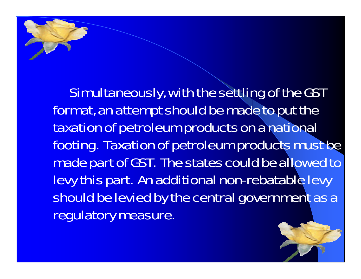Simultaneously, with the settling of the GST format, an attempt should be made to put the taxation of petroleum products on a national footing. Taxation of petroleum products must be made part of GST. The states could be allowed to levy this part. An additional non-rebatable levy should be levied by the central government as a regulatory measure.